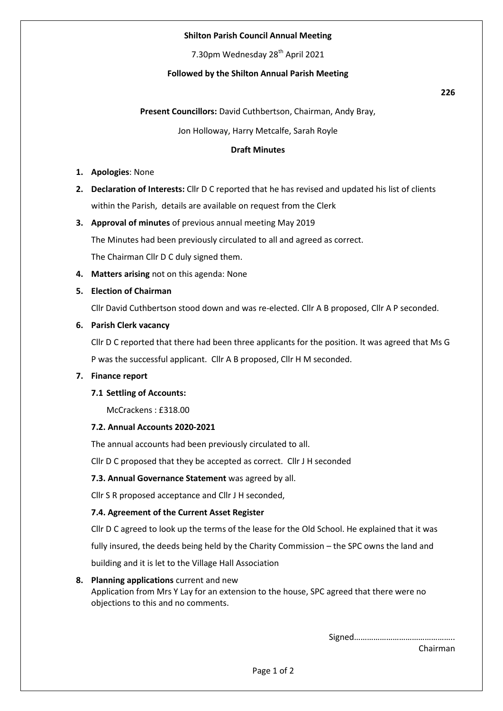## **Shilton Parish Council Annual Meeting**

7.30pm Wednesday 28<sup>th</sup> April 2021

## **Followed by the Shilton Annual Parish Meeting**

### **Present Councillors:** David Cuthbertson, Chairman, Andy Bray,

Jon Holloway, Harry Metcalfe, Sarah Royle

### **Draft Minutes**

- **1. Apologies**: None
- **2. Declaration of Interests:** Cllr D C reported that he has revised and updated his list of clients within the Parish, details are available on request from the Clerk
- **3. Approval of minutes** of previous annual meeting May 2019

The Minutes had been previously circulated to all and agreed as correct.

The Chairman Cllr D C duly signed them.

**4. Matters arising** not on this agenda: None

### **5. Election of Chairman**

Cllr David Cuthbertson stood down and was re-elected. Cllr A B proposed, Cllr A P seconded.

### **6. Parish Clerk vacancy**

Cllr D C reported that there had been three applicants for the position. It was agreed that Ms G P was the successful applicant. Cllr A B proposed, Cllr H M seconded.

#### **7. Finance report**

### **7.1 Settling of Accounts:**

McCrackens : £318.00

### **7.2. Annual Accounts 2020-2021**

The annual accounts had been previously circulated to all.

Cllr D C proposed that they be accepted as correct. Cllr J H seconded

### **7.3. Annual Governance Statement** was agreed by all.

Cllr S R proposed acceptance and Cllr J H seconded,

### **7.4. Agreement of the Current Asset Register**

Cllr D C agreed to look up the terms of the lease for the Old School. He explained that it was

fully insured, the deeds being held by the Charity Commission – the SPC owns the land and

building and it is let to the Village Hall Association

### **8. Planning applications** current and new

Application from Mrs Y Lay for an extension to the house, SPC agreed that there were no objections to this and no comments.

> Signed……………………………………….. Chairman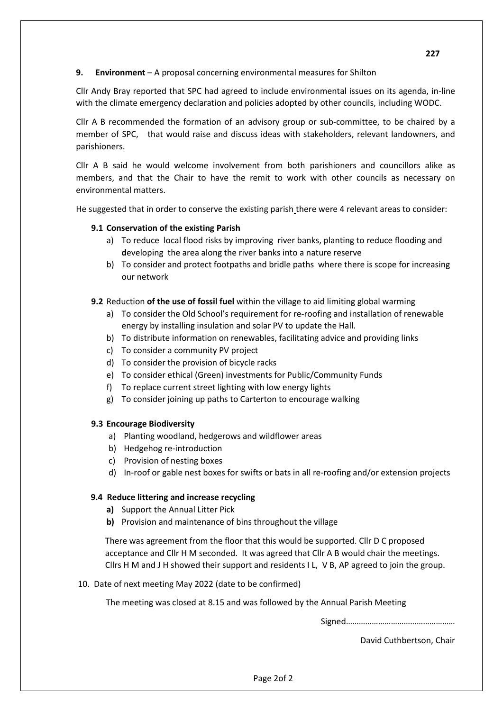**9. Environment** – A proposal concerning environmental measures for Shilton

Cllr Andy Bray reported that SPC had agreed to include environmental issues on its agenda, in-line with the climate emergency declaration and policies adopted by other councils, including WODC.

Cllr A B recommended the formation of an advisory group or sub-committee, to be chaired by a member of SPC, that would raise and discuss ideas with stakeholders, relevant landowners, and parishioners.

Cllr A B said he would welcome involvement from both parishioners and councillors alike as members, and that the Chair to have the remit to work with other councils as necessary on environmental matters.

He suggested that in order to conserve the existing parish there were 4 relevant areas to consider:

# **9.1 Conservation of the existing Parish**

- a) To reduce local flood risks by improving river banks, planting to reduce flooding and **d**eveloping the area along the river banks into a nature reserve
- b) To consider and protect footpaths and bridle paths where there is scope for increasing our network

# **9.2** Reduction of the use of fossil fuel within the village to aid limiting global warming

- a) To consider the Old School's requirement for re-roofing and installation of renewable energy by installing insulation and solar PV to update the Hall.
- b) To distribute information on renewables, facilitating advice and providing links
- c) To consider a community PV project
- d) To consider the provision of bicycle racks
- e) To consider ethical (Green) investments for Public/Community Funds
- f) To replace current street lighting with low energy lights
- g) To consider joining up paths to Carterton to encourage walking

# **9.3 Encourage Biodiversity**

- a) Planting woodland, hedgerows and wildflower areas
- b) Hedgehog re-introduction
- c) Provision of nesting boxes
- d) In-roof or gable nest boxes for swifts or bats in all re-roofing and/or extension projects

# **9.4 Reduce littering and increase recycling**

- **a)** Support the Annual Litter Pick
- **b)** Provision and maintenance of bins throughout the village

There was agreement from the floor that this would be supported. Cllr D C proposed acceptance and Cllr H M seconded. It was agreed that Cllr A B would chair the meetings. Cllrs H M and J H showed their support and residents I L, V B, AP agreed to join the group.

# 10. Date of next meeting May 2022 (date to be confirmed)

The meeting was closed at 8.15 and was followed by the Annual Parish Meeting

Signed……………………………………………

David Cuthbertson, Chair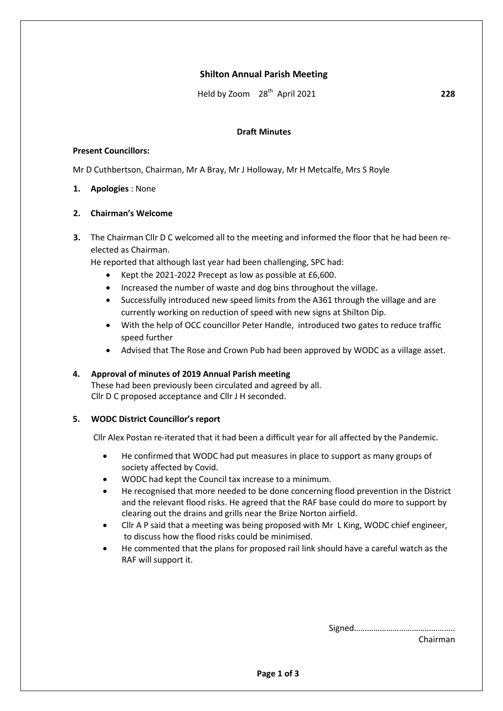# **Shilton Annual Parish Meeting**

Held by Zoom 28th April 2021 **228**

### **Draft Minutes**

### **Present Councillors:**

Mr D Cuthbertson, Chairman, Mr A Bray, Mr J Holloway, Mr H Metcalfe, Mrs S Royle

## **1. Apologies** : None

## **2. Chairman's Welcome**

**3.** The Chairman Cllr D C welcomed all to the meeting and informed the floor that he had been reelected as Chairman.

He reported that although last year had been challenging, SPC had:

- Kept the 2021-2022 Precept as low as possible at £6,600.
- Increased the number of waste and dog bins throughout the village.
- Successfully introduced new speed limits from the A361 through the village and are currently working on reduction of speed with new signs at Shilton Dip.
- With the help of OCC councillor Peter Handle, introduced two gates to reduce traffic speed further
- Advised that The Rose and Crown Pub had been approved by WODC as a village asset.

### **4. Approval of minutes of 2019 Annual Parish meeting**

These had been previously been circulated and agreed by all. Cllr D C proposed acceptance and Cllr J H seconded.

# **5. WODC District Councillor's report**

Cllr Alex Postan re-iterated that it had been a difficult year for all affected by the Pandemic.

- He confirmed that WODC had put measures in place to support as many groups of society affected by Covid.
- WODC had kept the Council tax increase to a minimum.
- He recognised that more needed to be done concerning flood prevention in the District and the relevant flood risks. He agreed that the RAF base could do more to support by clearing out the drains and grills near the Brize Norton airfield.
- Cllr A P said that a meeting was being proposed with Mr L King, WODC chief engineer, to discuss how the flood risks could be minimised.
- He commented that the plans for proposed rail link should have a careful watch as the RAF will support it.

Signed………………………………………..

Chairman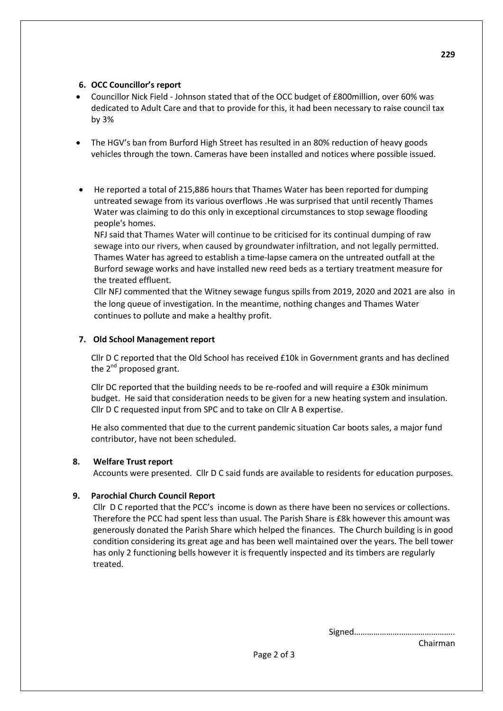## **6. OCC Councillor's report**

- Councillor Nick Field Johnson stated that of the OCC budget of £800million, over 60% was dedicated to Adult Care and that to provide for this, it had been necessary to raise council tax by 3%
- The HGV's ban from Burford High Street has resulted in an 80% reduction of heavy goods vehicles through the town. Cameras have been installed and notices where possible issued.
- He reported a total of 215,886 hours that Thames Water has been reported for dumping untreated sewage from its various overflows .He was surprised that until recently Thames Water was claiming to do this only in exceptional circumstances to stop sewage flooding people's homes.

NFJ said that Thames Water will continue to be criticised for its continual dumping of raw sewage into our rivers, when caused by groundwater infiltration, and not legally permitted. Thames Water has agreed to establish a time-lapse camera on the untreated outfall at the Burford sewage works and have installed new reed beds as a tertiary treatment measure for the treated effluent.

Cllr NFJ commented that the Witney sewage fungus spills from 2019, 2020 and 2021 are also in the long queue of investigation. In the meantime, nothing changes and Thames Water continues to pollute and make a healthy profit.

# **7. Old School Management report**

Cllr D C reported that the Old School has received £10k in Government grants and has declined the  $2^{nd}$  proposed grant.

Cllr DC reported that the building needs to be re-roofed and will require a £30k minimum budget. He said that consideration needs to be given for a new heating system and insulation. Cllr D C requested input from SPC and to take on Cllr A B expertise.

He also commented that due to the current pandemic situation Car boots sales, a major fund contributor, have not been scheduled.

# **8. Welfare Trust report**

Accounts were presented. Cllr D C said funds are available to residents for education purposes.

# **9. Parochial Church Council Report**

Cllr D C reported that the PCC's income is down as there have been no services or collections. Therefore the PCC had spent less than usual. The Parish Share is £8k however this amount was generously donated the Parish Share which helped the finances. The Church building is in good condition considering its great age and has been well maintained over the years. The bell tower has only 2 functioning bells however it is frequently inspected and its timbers are regularly treated.

Signed………………………………………..

Chairman